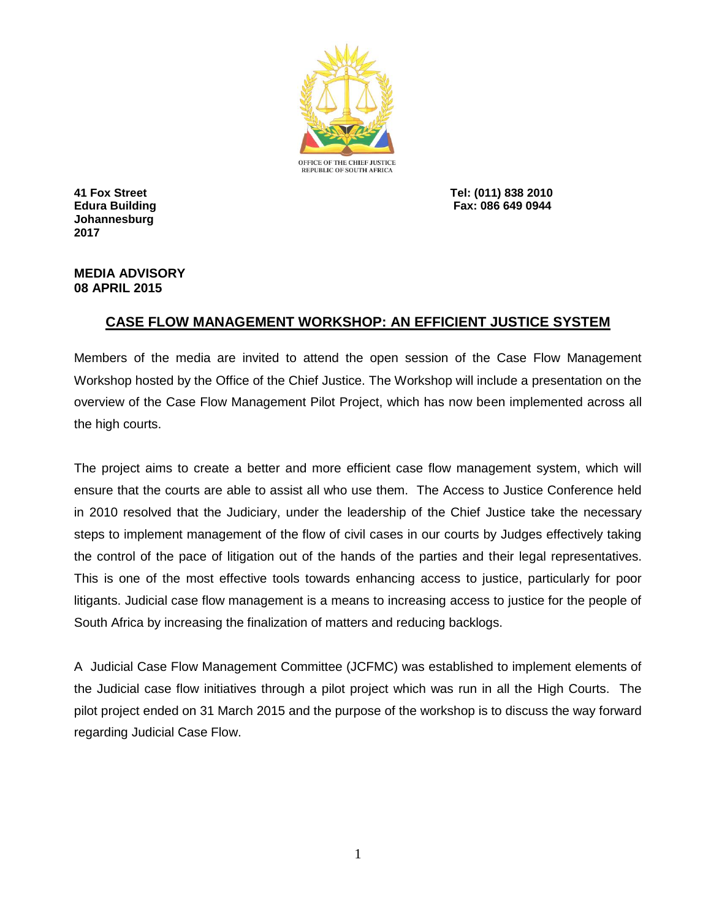

**Johannesburg 2017**

**41 Fox Street Tel: (011) 838 2010 Edura Building Fax: 086 649 0944**

## **MEDIA ADVISORY 08 APRIL 2015**

## **CASE FLOW MANAGEMENT WORKSHOP: AN EFFICIENT JUSTICE SYSTEM**

Members of the media are invited to attend the open session of the Case Flow Management Workshop hosted by the Office of the Chief Justice. The Workshop will include a presentation on the overview of the Case Flow Management Pilot Project, which has now been implemented across all the high courts.

The project aims to create a better and more efficient case flow management system, which will ensure that the courts are able to assist all who use them. The Access to Justice Conference held in 2010 resolved that the Judiciary, under the leadership of the Chief Justice take the necessary steps to implement management of the flow of civil cases in our courts by Judges effectively taking the control of the pace of litigation out of the hands of the parties and their legal representatives. This is one of the most effective tools towards enhancing access to justice, particularly for poor litigants. Judicial case flow management is a means to increasing access to justice for the people of South Africa by increasing the finalization of matters and reducing backlogs.

A Judicial Case Flow Management Committee (JCFMC) was established to implement elements of the Judicial case flow initiatives through a pilot project which was run in all the High Courts. The pilot project ended on 31 March 2015 and the purpose of the workshop is to discuss the way forward regarding Judicial Case Flow.